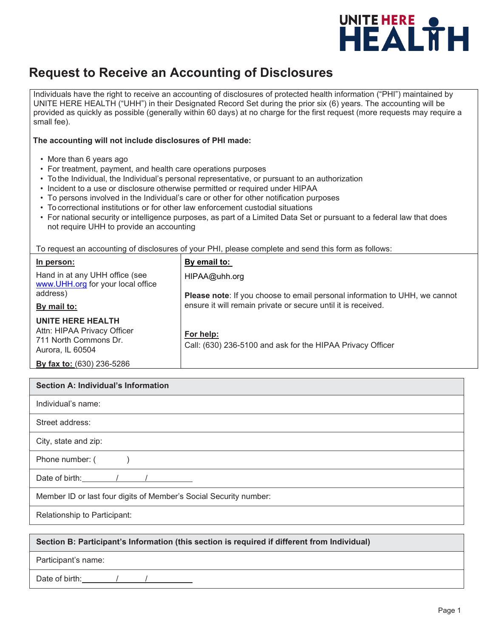

## **Request to Receive an Accounting of Disclosures**

Individuals have the right to receive an accounting of disclosures of protected health information ("PHI") maintained by UNITE HERE HEALTH ("UHH") in their Designated Record Set during the prior six (6) years. The accounting will be provided as quickly as possible (generally within 60 days) at no charge for the first request (more requests may require a small fee).

## **The accounting will not include disclosures of PHI made:**

- More than 6 years ago
- For treatment, payment, and health care operations purposes
- To the Individual, the Individual's personal representative, or pursuant to an authorization
- Incident to a use or disclosure otherwise permitted or required under HIPAA
- To persons involved in the Individual's care or other for other notification purposes
- To correctional institutions or for other law enforcement custodial situations
- For national security or intelligence purposes, as part of a Limited Data Set or pursuant to a federal law that does not require UHH to provide an accounting

To request an accounting of disclosures of your PHI, please complete and send this form as follows:

| In person:                                                                                           | By email to:                                                                      |
|------------------------------------------------------------------------------------------------------|-----------------------------------------------------------------------------------|
| Hand in at any UHH office (see<br>www.UHH.org for your local office                                  | HIPAA@uhh.org                                                                     |
| address)                                                                                             | <b>Please note:</b> If you choose to email personal information to UHH, we cannot |
| By mail to:                                                                                          | ensure it will remain private or secure until it is received.                     |
| <b>UNITE HERE HEALTH</b><br>Attn: HIPAA Privacy Officer<br>711 North Commons Dr.<br>Aurora, IL 60504 | For help:<br>Call: (630) 236-5100 and ask for the HIPAA Privacy Officer           |
| By fax to: (630) 236-5286                                                                            |                                                                                   |

| Section A: Individual's Information                               |  |
|-------------------------------------------------------------------|--|
| Individual's name:                                                |  |
| Street address:                                                   |  |
| City, state and zip:                                              |  |
| Phone number: (                                                   |  |
| Date of birth:                                                    |  |
| Member ID or last four digits of Member's Social Security number: |  |
| Relationship to Participant:                                      |  |

## **Section B: Participant's Information (this section is required if different from Individual)**

Participant's name:

Date of birth: